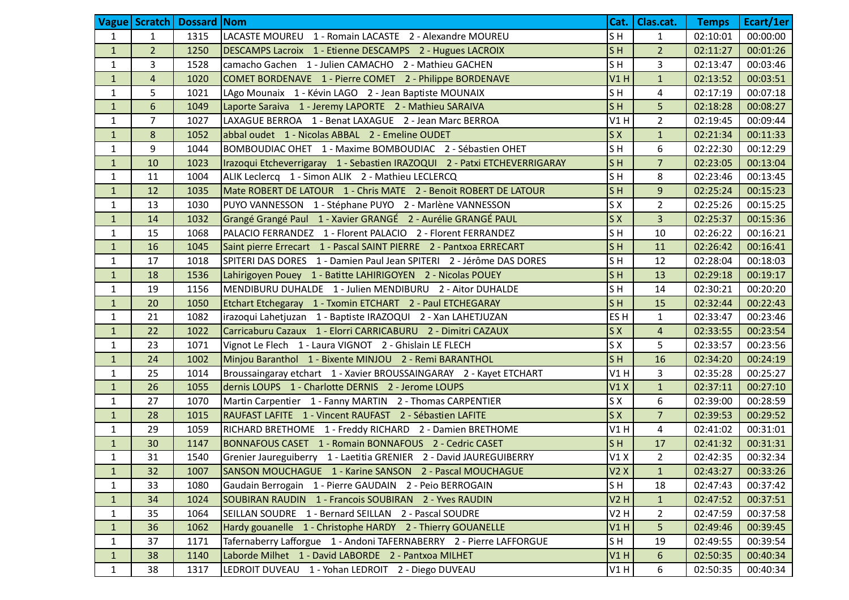|              | Vague   Scratch | Dossard Nom |                                                                           | Cat.            | Clas.cat.        | <b>Temps</b> | Ecart/1er |
|--------------|-----------------|-------------|---------------------------------------------------------------------------|-----------------|------------------|--------------|-----------|
| $\mathbf{1}$ | $\mathbf{1}$    | 1315        | LACASTE MOUREU 1 - Romain LACASTE 2 - Alexandre MOUREU                    | SH              | 1                | 02:10:01     | 00:00:00  |
| $\mathbf{1}$ | $\overline{2}$  | 1250        | DESCAMPS Lacroix 1 - Etienne DESCAMPS 2 - Hugues LACROIX                  | S <sub>H</sub>  | $\overline{2}$   | 02:11:27     | 00:01:26  |
| $\mathbf{1}$ | 3               | 1528        | camacho Gachen 1 - Julien CAMACHO 2 - Mathieu GACHEN                      | SH              | 3                | 02:13:47     | 00:03:46  |
| $\mathbf{1}$ | $\overline{4}$  | 1020        | COMET BORDENAVE 1 - Pierre COMET 2 - Philippe BORDENAVE                   | V1H             | $\mathbf{1}$     | 02:13:52     | 00:03:51  |
| $\mathbf{1}$ | 5               | 1021        | LAgo Mounaix 1 - Kévin LAGO 2 - Jean Baptiste MOUNAIX                     | SH              | $\overline{4}$   | 02:17:19     | 00:07:18  |
| $\mathbf{1}$ | $6\phantom{1}$  | 1049        | Laporte Saraiva 1 - Jeremy LAPORTE 2 - Mathieu SARAIVA                    | S <sub>H</sub>  | 5                | 02:18:28     | 00:08:27  |
| $\mathbf{1}$ | $\overline{7}$  | 1027        | LAXAGUE BERROA 1 - Benat LAXAGUE 2 - Jean Marc BERROA                     | V1H             | $\overline{2}$   | 02:19:45     | 00:09:44  |
| $\mathbf{1}$ | 8               | 1052        | abbal oudet 1 - Nicolas ABBAL 2 - Emeline OUDET                           | S X             | $\mathbf{1}$     | 02:21:34     | 00:11:33  |
| $\mathbf{1}$ | 9               | 1044        | BOMBOUDIAC OHET 1 - Maxime BOMBOUDIAC 2 - Sébastien OHET                  | SH              | 6                | 02:22:30     | 00:12:29  |
| $\mathbf{1}$ | 10              | 1023        | Irazoqui Etcheverrigaray 1 - Sebastien IRAZOQUI 2 - Patxi ETCHEVERRIGARAY | S <sub>H</sub>  | $\overline{7}$   | 02:23:05     | 00:13:04  |
| $\mathbf{1}$ | 11              | 1004        | ALIK Leclercq 1 - Simon ALIK 2 - Mathieu LECLERCQ                         | SH              | 8                | 02:23:46     | 00:13:45  |
| $\mathbf{1}$ | 12              | 1035        | Mate ROBERT DE LATOUR 1 - Chris MATE 2 - Benoit ROBERT DE LATOUR          | S <sub>H</sub>  | $9$              | 02:25:24     | 00:15:23  |
| $\mathbf{1}$ | 13              | 1030        | PUYO VANNESSON 1 - Stéphane PUYO 2 - Marlène VANNESSON                    | S X             | $\overline{2}$   | 02:25:26     | 00:15:25  |
| $\mathbf{1}$ | 14              | 1032        | Grangé Grangé Paul 1 - Xavier GRANGÉ 2 - Aurélie GRANGÉ PAUL              | S X             | $\overline{3}$   | 02:25:37     | 00:15:36  |
| $\mathbf{1}$ | 15              | 1068        | PALACIO FERRANDEZ 1 - Florent PALACIO 2 - Florent FERRANDEZ               | SH              | 10               | 02:26:22     | 00:16:21  |
| $\mathbf{1}$ | 16              | 1045        | Saint pierre Errecart 1 - Pascal SAINT PIERRE 2 - Pantxoa ERRECART        | S <sub>H</sub>  | 11               | 02:26:42     | 00:16:41  |
| $\mathbf{1}$ | 17              | 1018        | SPITERI DAS DORES 1 - Damien Paul Jean SPITERI 2 - Jérôme DAS DORES       | SH              | 12               | 02:28:04     | 00:18:03  |
| $\mathbf{1}$ | 18              | 1536        | Lahirigoyen Pouey 1 - Batitte LAHIRIGOYEN 2 - Nicolas POUEY               | S <sub>H</sub>  | 13               | 02:29:18     | 00:19:17  |
| $\mathbf{1}$ | 19              | 1156        | MENDIBURU DUHALDE 1 - Julien MENDIBURU 2 - Aitor DUHALDE                  | SH              | 14               | 02:30:21     | 00:20:20  |
| $\mathbf{1}$ | 20              | 1050        | Etchart Etchegaray 1 - Txomin ETCHART 2 - Paul ETCHEGARAY                 | S <sub>H</sub>  | 15               | 02:32:44     | 00:22:43  |
| 1            | 21              | 1082        | irazoqui Lahetjuzan 1 - Baptiste IRAZOQUI 2 - Xan LAHETJUZAN              | ES <sub>H</sub> | $\mathbf{1}$     | 02:33:47     | 00:23:46  |
| $\mathbf{1}$ | 22              | 1022        | Carricaburu Cazaux 1 - Elorri CARRICABURU 2 - Dimitri CAZAUX              | S X             | $\overline{4}$   | 02:33:55     | 00:23:54  |
| $\mathbf{1}$ | 23              | 1071        | Vignot Le Flech 1 - Laura VIGNOT 2 - Ghislain LE FLECH                    | S X             | 5                | 02:33:57     | 00:23:56  |
| $\mathbf{1}$ | 24              | 1002        | Minjou Baranthol 1 - Bixente MINJOU 2 - Remi BARANTHOL                    | S <sub>H</sub>  | 16               | 02:34:20     | 00:24:19  |
| $\mathbf{1}$ | 25              | 1014        | Broussaingaray etchart 1 - Xavier BROUSSAINGARAY 2 - Kayet ETCHART        | V1H             | 3                | 02:35:28     | 00:25:27  |
| $\mathbf{1}$ | 26              | 1055        | dernis LOUPS 1 - Charlotte DERNIS 2 - Jerome LOUPS                        | V1X             | $\mathbf{1}$     | 02:37:11     | 00:27:10  |
| 1            | 27              | 1070        | Martin Carpentier 1 - Fanny MARTIN 2 - Thomas CARPENTIER                  | S X             | $\boldsymbol{6}$ | 02:39:00     | 00:28:59  |
| $\mathbf{1}$ | 28              | 1015        | RAUFAST LAFITE 1 - Vincent RAUFAST 2 - Sébastien LAFITE                   | S X             | $\overline{7}$   | 02:39:53     | 00:29:52  |
| $\mathbf{1}$ | 29              | 1059        | RICHARD BRETHOME 1 - Freddy RICHARD 2 - Damien BRETHOME                   | <b>V1 H</b>     | $\overline{4}$   | 02:41:02     | 00:31:01  |
| $\mathbf{1}$ | 30              | 1147        | BONNAFOUS CASET 1 - Romain BONNAFOUS 2 - Cedric CASET                     | S <sub>H</sub>  | 17               | 02:41:32     | 00:31:31  |
| $\mathbf{1}$ | 31              | 1540        | Grenier Jaureguiberry 1 - Laetitia GRENIER 2 - David JAUREGUIBERRY        | V1X             | $\overline{2}$   | 02:42:35     | 00:32:34  |
| $\mathbf{1}$ | 32              | 1007        | SANSON MOUCHAGUE 1 - Karine SANSON 2 - Pascal MOUCHAGUE                   | V2X             | $\mathbf{1}$     | 02:43:27     | 00:33:26  |
| $\mathbf{1}$ | 33              | 1080        | Gaudain Berrogain 1 - Pierre GAUDAIN 2 - Peio BERROGAIN                   | SH              | 18               | 02:47:43     | 00:37:42  |
| $\mathbf{1}$ | 34              | 1024        | SOUBIRAN RAUDIN 1 - Francois SOUBIRAN 2 - Yves RAUDIN                     | <b>V2 H</b>     | $\mathbf{1}$     | 02:47:52     | 00:37:51  |
| $\mathbf{1}$ | 35              | 1064        | SEILLAN SOUDRE 1 - Bernard SEILLAN 2 - Pascal SOUDRE                      | <b>V2 H</b>     | $\overline{2}$   | 02:47:59     | 00:37:58  |
| $\mathbf{1}$ | 36              | 1062        | Hardy gouanelle 1 - Christophe HARDY 2 - Thierry GOUANELLE                | V1H             | 5                | 02:49:46     | 00:39:45  |
| $\mathbf{1}$ | 37              | 1171        | Tafernaberry Lafforgue 1 - Andoni TAFERNABERRY 2 - Pierre LAFFORGUE       | SH              | 19               | 02:49:55     | 00:39:54  |
| $\mathbf{1}$ | 38              | 1140        | Laborde Milhet 1 - David LABORDE 2 - Pantxoa MILHET                       | V1H             | $6\,$            | 02:50:35     | 00:40:34  |
| $\mathbf{1}$ | 38              | 1317        | LEDROIT DUVEAU 1 - Yohan LEDROIT 2 - Diego DUVEAU                         | V1H             | $\boldsymbol{6}$ | 02:50:35     | 00:40:34  |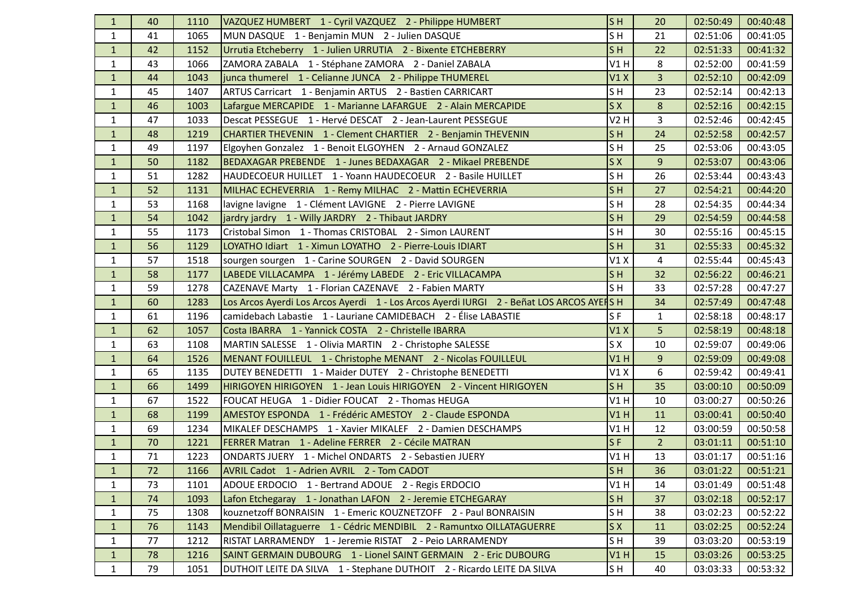| $\mathbf{1}$ | 40 | 1110 | VAZQUEZ HUMBERT 1 - Cyril VAZQUEZ 2 - Philippe HUMBERT                                   | S <sub>H</sub> | 20             | 02:50:49 | 00:40:48 |
|--------------|----|------|------------------------------------------------------------------------------------------|----------------|----------------|----------|----------|
| $\mathbf{1}$ | 41 | 1065 | MUN DASQUE 1 - Benjamin MUN 2 - Julien DASQUE                                            | SH             | 21             | 02:51:06 | 00:41:05 |
| $\mathbf{1}$ | 42 | 1152 | Urrutia Etcheberry 1 - Julien URRUTIA 2 - Bixente ETCHEBERRY                             | S <sub>H</sub> | 22             | 02:51:33 | 00:41:32 |
| 1            | 43 | 1066 | ZAMORA ZABALA 1 - Stéphane ZAMORA 2 - Daniel ZABALA                                      | V1H            | 8              | 02:52:00 | 00:41:59 |
| $\mathbf{1}$ | 44 | 1043 | junca thumerel 1 - Celianne JUNCA 2 - Philippe THUMEREL                                  | V1X            | $\overline{3}$ | 02:52:10 | 00:42:09 |
| $\mathbf{1}$ | 45 | 1407 | ARTUS Carricart 1 - Benjamin ARTUS 2 - Bastien CARRICART                                 | S <sub>H</sub> | 23             | 02:52:14 | 00:42:13 |
| $\mathbf{1}$ | 46 | 1003 | Lafargue MERCAPIDE 1 - Marianne LAFARGUE 2 - Alain MERCAPIDE                             | S X            | 8              | 02:52:16 | 00:42:15 |
| $\mathbf{1}$ | 47 | 1033 | Descat PESSEGUE 1 - Hervé DESCAT 2 - Jean-Laurent PESSEGUE                               | <b>V2 H</b>    | 3              | 02:52:46 | 00:42:45 |
| $\mathbf{1}$ | 48 | 1219 | CHARTIER THEVENIN 1 - Clement CHARTIER 2 - Benjamin THEVENIN                             | S <sub>H</sub> | 24             | 02:52:58 | 00:42:57 |
| 1            | 49 | 1197 | Elgoyhen Gonzalez 1 - Benoit ELGOYHEN 2 - Arnaud GONZALEZ                                | SH             | 25             | 02:53:06 | 00:43:05 |
| $\mathbf{1}$ | 50 | 1182 | BEDAXAGAR PREBENDE 1 - Junes BEDAXAGAR 2 - Mikael PREBENDE                               | S X            | 9              | 02:53:07 | 00:43:06 |
| $\mathbf{1}$ | 51 | 1282 | HAUDECOEUR HUILLET 1 - Yoann HAUDECOEUR 2 - Basile HUILLET                               | SH             | 26             | 02:53:44 | 00:43:43 |
| $\mathbf{1}$ | 52 | 1131 | MILHAC ECHEVERRIA 1 - Remy MILHAC 2 - Mattin ECHEVERRIA                                  | S <sub>H</sub> | 27             | 02:54:21 | 00:44:20 |
| 1            | 53 | 1168 | lavigne lavigne 1 - Clément LAVIGNE 2 - Pierre LAVIGNE                                   | SH             | 28             | 02:54:35 | 00:44:34 |
| $\mathbf{1}$ | 54 | 1042 | jardry jardry 1 - Willy JARDRY 2 - Thibaut JARDRY                                        | S <sub>H</sub> | 29             | 02:54:59 | 00:44:58 |
| 1            | 55 | 1173 | Cristobal Simon 1 - Thomas CRISTOBAL 2 - Simon LAURENT                                   | SH             | 30             | 02:55:16 | 00:45:15 |
| $\mathbf{1}$ | 56 | 1129 | LOYATHO Idiart 1 - Ximun LOYATHO 2 - Pierre-Louis IDIART                                 | S <sub>H</sub> | 31             | 02:55:33 | 00:45:32 |
| $\mathbf{1}$ | 57 | 1518 | sourgen sourgen 1 - Carine SOURGEN 2 - David SOURGEN                                     | V1X            | $\overline{4}$ | 02:55:44 | 00:45:43 |
| $\mathbf{1}$ | 58 | 1177 | LABEDE VILLACAMPA 1 - Jérémy LABEDE 2 - Eric VILLACAMPA                                  | S <sub>H</sub> | 32             | 02:56:22 | 00:46:21 |
| $\mathbf{1}$ | 59 | 1278 | CAZENAVE Marty 1 - Florian CAZENAVE 2 - Fabien MARTY                                     | S <sub>H</sub> | 33             | 02:57:28 | 00:47:27 |
| $\mathbf{1}$ | 60 | 1283 | Los Arcos Ayerdi Los Arcos Ayerdi 1 - Los Arcos Ayerdi IURGI 2 - Beñat LOS ARCOS AYERS H |                | 34             | 02:57:49 | 00:47:48 |
| 1            | 61 | 1196 | camidebach Labastie 1 - Lauriane CAMIDEBACH 2 - Élise LABASTIE                           | SF             | 1              | 02:58:18 | 00:48:17 |
| $\mathbf{1}$ | 62 | 1057 | Costa IBARRA 1 - Yannick COSTA 2 - Christelle IBARRA                                     | V1X            | 5              | 02:58:19 | 00:48:18 |
| $\mathbf{1}$ | 63 | 1108 | MARTIN SALESSE 1 - Olivia MARTIN 2 - Christophe SALESSE                                  | S X            | 10             | 02:59:07 | 00:49:06 |
| $\mathbf{1}$ | 64 | 1526 | MENANT FOUILLEUL 1 - Christophe MENANT 2 - Nicolas FOUILLEUL                             | V1H            | 9              | 02:59:09 | 00:49:08 |
| $\mathbf{1}$ | 65 | 1135 | DUTEY BENEDETTI 1 - Maider DUTEY 2 - Christophe BENEDETTI                                | V1X            | 6              | 02:59:42 | 00:49:41 |
| $\mathbf{1}$ | 66 | 1499 | HIRIGOYEN HIRIGOYEN 1 - Jean Louis HIRIGOYEN 2 - Vincent HIRIGOYEN                       | SH             | 35             | 03:00:10 | 00:50:09 |
| 1            | 67 | 1522 | FOUCAT HEUGA 1 - Didier FOUCAT 2 - Thomas HEUGA                                          | V1H            | 10             | 03:00:27 | 00:50:26 |
| $\mathbf{1}$ | 68 | 1199 | AMESTOY ESPONDA 1 - Frédéric AMESTOY 2 - Claude ESPONDA                                  | V1H            | 11             | 03:00:41 | 00:50:40 |
| $\mathbf{1}$ | 69 | 1234 | MIKALEF DESCHAMPS 1 - Xavier MIKALEF 2 - Damien DESCHAMPS                                | V1H            | 12             | 03:00:59 | 00:50:58 |
| $\mathbf{1}$ | 70 | 1221 | FERRER Matran 1 - Adeline FERRER 2 - Cécile MATRAN                                       | S <sub>F</sub> | 2 <sup>1</sup> | 03:01:11 | 00:51:10 |
| $\mathbf{1}$ | 71 | 1223 | ONDARTS JUERY 1 - Michel ONDARTS 2 - Sebastien JUERY                                     | V1H            | 13             | 03:01:17 | 00:51:16 |
| $\mathbf{1}$ | 72 | 1166 | AVRIL Cadot 1 - Adrien AVRIL 2 - Tom CADOT                                               | S <sub>H</sub> | 36             | 03:01:22 | 00:51:21 |
| $\mathbf{1}$ | 73 | 1101 | ADOUE ERDOCIO 1 - Bertrand ADOUE 2 - Regis ERDOCIO                                       | V1H            | 14             | 03:01:49 | 00:51:48 |
| $\mathbf{1}$ | 74 | 1093 | Lafon Etchegaray 1 - Jonathan LAFON 2 - Jeremie ETCHEGARAY                               | S <sub>H</sub> | 37             | 03:02:18 | 00:52:17 |
| $\mathbf{1}$ | 75 | 1308 | kouznetzoff BONRAISIN 1 - Emeric KOUZNETZOFF 2 - Paul BONRAISIN                          | SH             | 38             | 03:02:23 | 00:52:22 |
| $\mathbf{1}$ |    | 1143 | Mendibil Oillataguerre 1 - Cédric MENDIBIL 2 - Ramuntxo OILLATAGUERRE                    | S X            | 11             | 03:02:25 | 00:52:24 |
|              | 76 |      |                                                                                          |                |                |          |          |
| $\mathbf{1}$ | 77 | 1212 | RISTAT LARRAMENDY 1 - Jeremie RISTAT 2 - Peio LARRAMENDY                                 | SH             | 39             | 03:03:20 | 00:53:19 |
| $\mathbf{1}$ | 78 | 1216 | SAINT GERMAIN DUBOURG 1 - Lionel SAINT GERMAIN 2 - Eric DUBOURG                          | V1H            | 15             | 03:03:26 | 00:53:25 |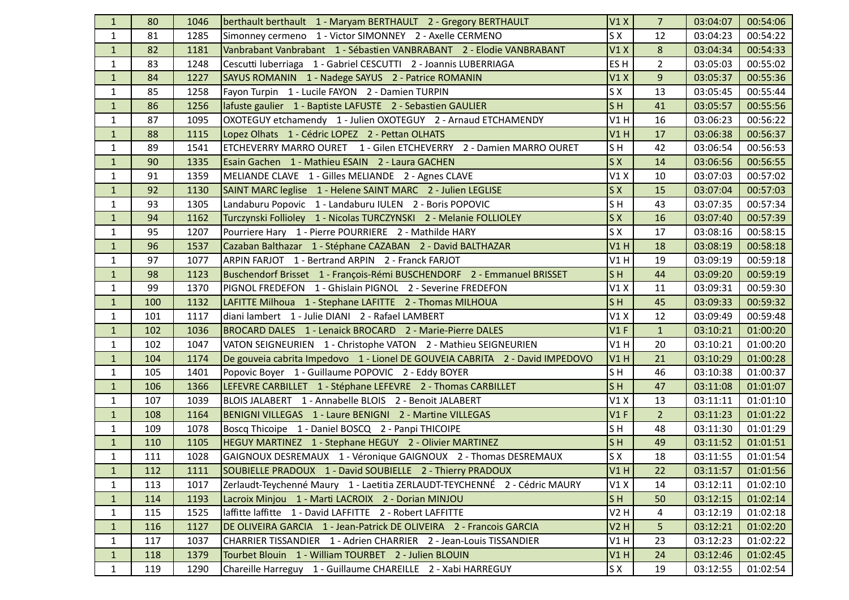| $\mathbf{1}$ | 80  | 1046 | berthault berthault 1 - Maryam BERTHAULT 2 - Gregory BERTHAULT               | V1X             | $\overline{7}$ | 03:04:07 | 00:54:06 |
|--------------|-----|------|------------------------------------------------------------------------------|-----------------|----------------|----------|----------|
| $\mathbf{1}$ | 81  | 1285 | Simonney cermeno 1 - Victor SIMONNEY 2 - Axelle CERMENO                      | S X             | 12             | 03:04:23 | 00:54:22 |
| $\mathbf{1}$ | 82  | 1181 | Vanbrabant Vanbrabant 1 - Sébastien VANBRABANT 2 - Elodie VANBRABANT         | V1X             | 8              | 03:04:34 | 00:54:33 |
| $\mathbf{1}$ | 83  | 1248 | Cescutti luberriaga 1 - Gabriel CESCUTTI 2 - Joannis LUBERRIAGA              | ES <sub>H</sub> | $\overline{2}$ | 03:05:03 | 00:55:02 |
| $\mathbf{1}$ | 84  | 1227 | SAYUS ROMANIN 1 - Nadege SAYUS 2 - Patrice ROMANIN                           | V1X             | 9              | 03:05:37 | 00:55:36 |
| $\mathbf{1}$ | 85  | 1258 | Fayon Turpin 1 - Lucile FAYON 2 - Damien TURPIN                              | S X             | 13             | 03:05:45 | 00:55:44 |
| $\mathbf{1}$ | 86  | 1256 | lafuste gaulier 1 - Baptiste LAFUSTE 2 - Sebastien GAULIER                   | SH              | 41             | 03:05:57 | 00:55:56 |
| $\mathbf{1}$ | 87  | 1095 | OXOTEGUY etchamendy 1 - Julien OXOTEGUY 2 - Arnaud ETCHAMENDY                | V1H             | 16             | 03:06:23 | 00:56:22 |
| $\mathbf{1}$ | 88  | 1115 | Lopez Olhats 1 - Cédric LOPEZ 2 - Pettan OLHATS                              | V1H             | 17             | 03:06:38 | 00:56:37 |
| $\mathbf{1}$ | 89  | 1541 | ETCHEVERRY MARRO OURET 1 - Gilen ETCHEVERRY 2 - Damien MARRO OURET           | SH              | 42             | 03:06:54 | 00:56:53 |
| $\mathbf{1}$ | 90  | 1335 | Esain Gachen 1 - Mathieu ESAIN 2 - Laura GACHEN                              | S X             | 14             | 03:06:56 | 00:56:55 |
| $\mathbf{1}$ | 91  | 1359 | MELIANDE CLAVE 1 - Gilles MELIANDE 2 - Agnes CLAVE                           | V1X             | 10             | 03:07:03 | 00:57:02 |
| $\mathbf{1}$ | 92  | 1130 | SAINT MARC leglise 1 - Helene SAINT MARC 2 - Julien LEGLISE                  | S X             | 15             | 03:07:04 | 00:57:03 |
| $\mathbf{1}$ | 93  | 1305 | Landaburu Popovic 1 - Landaburu IULEN 2 - Boris POPOVIC                      | SH              | 43             | 03:07:35 | 00:57:34 |
| $\mathbf{1}$ | 94  | 1162 | Turczynski Follioley 1 - Nicolas TURCZYNSKI 2 - Melanie FOLLIOLEY            | S X             | 16             | 03:07:40 | 00:57:39 |
| $\mathbf{1}$ | 95  | 1207 | Pourriere Hary 1 - Pierre POURRIERE 2 - Mathilde HARY                        | S X             | 17             | 03:08:16 | 00:58:15 |
| $\mathbf{1}$ | 96  | 1537 | Cazaban Balthazar 1 - Stéphane CAZABAN 2 - David BALTHAZAR                   | V1H             | 18             | 03:08:19 | 00:58:18 |
| $\mathbf{1}$ | 97  | 1077 | ARPIN FARJOT 1 - Bertrand ARPIN 2 - Franck FARJOT                            | V1H             | 19             | 03:09:19 | 00:59:18 |
| $\mathbf{1}$ | 98  | 1123 | Buschendorf Brisset 1 - François-Rémi BUSCHENDORF 2 - Emmanuel BRISSET       | SH              | 44             | 03:09:20 | 00:59:19 |
| $\mathbf{1}$ | 99  | 1370 | PIGNOL FREDEFON 1 - Ghislain PIGNOL 2 - Severine FREDEFON                    | V1X             | 11             | 03:09:31 | 00:59:30 |
| $\mathbf{1}$ | 100 | 1132 | LAFITTE Milhoua 1 - Stephane LAFITTE 2 - Thomas MILHOUA                      | SH              | 45             | 03:09:33 | 00:59:32 |
| 1            | 101 | 1117 | diani lambert 1 - Julie DIANI 2 - Rafael LAMBERT                             | V1X             | 12             | 03:09:49 | 00:59:48 |
| $\mathbf{1}$ | 102 | 1036 | BROCARD DALES 1 - Lenaick BROCARD 2 - Marie-Pierre DALES                     | V1F             | $\mathbf{1}$   | 03:10:21 | 01:00:20 |
| $\mathbf{1}$ | 102 | 1047 | VATON SEIGNEURIEN 1 - Christophe VATON 2 - Mathieu SEIGNEURIEN               | V1H             | 20             | 03:10:21 | 01:00:20 |
| $\mathbf{1}$ | 104 | 1174 | De gouveia cabrita Impedovo 1 - Lionel DE GOUVEIA CABRITA 2 - David IMPEDOVO | V1H             | 21             | 03:10:29 | 01:00:28 |
| 1            | 105 | 1401 | Popovic Boyer 1 - Guillaume POPOVIC 2 - Eddy BOYER                           | SH              | 46             | 03:10:38 | 01:00:37 |
| $\mathbf{1}$ | 106 | 1366 | LEFEVRE CARBILLET 1 - Stéphane LEFEVRE 2 - Thomas CARBILLET                  | SH              | 47             | 03:11:08 | 01:01:07 |
| 1            | 107 | 1039 | BLOIS JALABERT 1 - Annabelle BLOIS 2 - Benoit JALABERT                       | V1X             | 13             | 03:11:11 | 01:01:10 |
| $\mathbf{1}$ | 108 | 1164 | BENIGNI VILLEGAS 1 - Laure BENIGNI 2 - Martine VILLEGAS                      | $V1$ F          | $\overline{2}$ | 03:11:23 | 01:01:22 |
| $\mathbf{1}$ | 109 | 1078 | Boscq Thicoipe 1 - Daniel BOSCQ 2 - Panpi THICOIPE                           | SH              | 48             | 03:11:30 | 01:01:29 |
| $\mathbf{1}$ | 110 | 1105 | HEGUY MARTINEZ 1 - Stephane HEGUY 2 - Olivier MARTINEZ                       | S <sub>H</sub>  | 49             | 03:11:52 | 01:01:51 |
| 1            | 111 | 1028 | GAIGNOUX DESREMAUX 1 - Véronique GAIGNOUX 2 - Thomas DESREMAUX               | S X             | 18             | 03:11:55 | 01:01:54 |
| $\mathbf{1}$ | 112 | 1111 | SOUBIELLE PRADOUX 1 - David SOUBIELLE 2 - Thierry PRADOUX                    | V1H             | 22             | 03:11:57 | 01:01:56 |
| $\mathbf{1}$ | 113 | 1017 | Zerlaudt-Teychenné Maury 1 - Laetitia ZERLAUDT-TEYCHENNÉ 2 - Cédric MAURY    | V1X             | 14             | 03:12:11 | 01:02:10 |
| $\mathbf{1}$ | 114 | 1193 | Lacroix Minjou 1 - Marti LACROIX 2 - Dorian MINJOU                           | SH              | 50             | 03:12:15 | 01:02:14 |
| $\mathbf{1}$ | 115 | 1525 | laffitte laffitte 1 - David LAFFITTE 2 - Robert LAFFITTE                     | <b>V2 H</b>     | 4              | 03:12:19 | 01:02:18 |
| $\mathbf{1}$ | 116 | 1127 | DE OLIVEIRA GARCIA 1 - Jean-Patrick DE OLIVEIRA 2 - Francois GARCIA          | V2H             | 5              | 03:12:21 | 01:02:20 |
| $\mathbf{1}$ | 117 | 1037 | CHARRIER TISSANDIER 1 - Adrien CHARRIER 2 - Jean-Louis TISSANDIER            | V1 H            | 23             | 03:12:23 | 01:02:22 |
| $\mathbf{1}$ | 118 | 1379 | Tourbet Blouin 1 - William TOURBET 2 - Julien BLOUIN                         | V1H             | 24             | 03:12:46 | 01:02:45 |
| $\mathbf{1}$ | 119 | 1290 | Chareille Harreguy 1 - Guillaume CHAREILLE 2 - Xabi HARREGUY                 | S X             | 19             | 03:12:55 | 01:02:54 |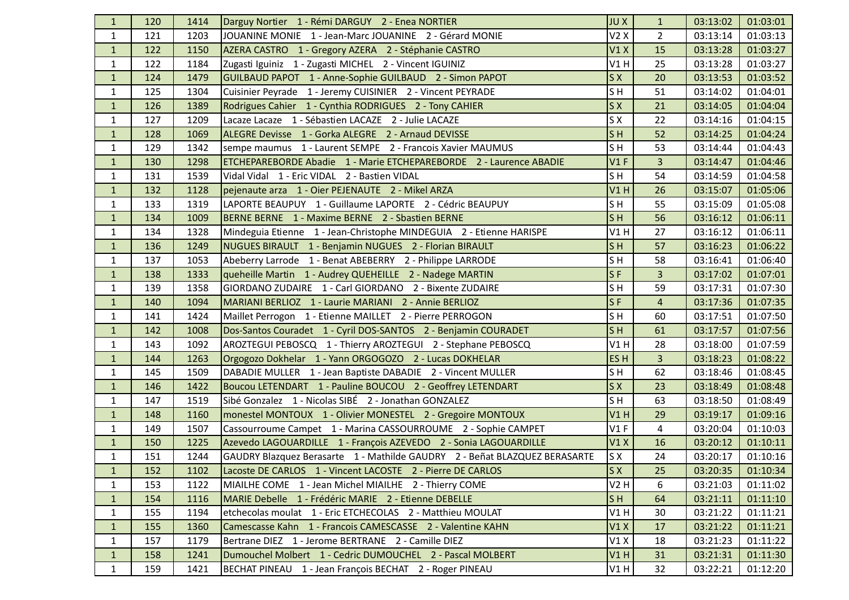| $\mathbf{1}$ | 120 | 1414 | Darguy Nortier 1 - Rémi DARGUY 2 - Enea NORTIER                            | <b>JUX</b>      | $\mathbf{1}$   | 03:13:02 | 01:03:01 |
|--------------|-----|------|----------------------------------------------------------------------------|-----------------|----------------|----------|----------|
| $\mathbf{1}$ | 121 | 1203 | JOUANINE MONIE 1 - Jean-Marc JOUANINE 2 - Gérard MONIE                     | V2X             | $\overline{2}$ | 03:13:14 | 01:03:13 |
| $\mathbf{1}$ | 122 | 1150 | AZERA CASTRO 1 - Gregory AZERA 2 - Stéphanie CASTRO                        | V1X             | 15             | 03:13:28 | 01:03:27 |
| $\mathbf{1}$ | 122 | 1184 | Zugasti Iguiniz 1 - Zugasti MICHEL 2 - Vincent IGUINIZ                     | V1H             | 25             | 03:13:28 | 01:03:27 |
| $\mathbf{1}$ | 124 | 1479 | GUILBAUD PAPOT 1 - Anne-Sophie GUILBAUD 2 - Simon PAPOT                    | S X             | 20             | 03:13:53 | 01:03:52 |
| $\mathbf{1}$ | 125 | 1304 | Cuisinier Peyrade 1 - Jeremy CUISINIER 2 - Vincent PEYRADE                 | SH              | 51             | 03:14:02 | 01:04:01 |
| $\mathbf{1}$ | 126 | 1389 | Rodrigues Cahier 1 - Cynthia RODRIGUES 2 - Tony CAHIER                     | S X             | 21             | 03:14:05 | 01:04:04 |
| $\mathbf{1}$ | 127 | 1209 | Lacaze Lacaze 1 - Sébastien LACAZE 2 - Julie LACAZE                        | S X             | 22             | 03:14:16 | 01:04:15 |
| $\mathbf{1}$ | 128 | 1069 | ALEGRE Devisse 1 - Gorka ALEGRE 2 - Arnaud DEVISSE                         | S <sub>H</sub>  | 52             | 03:14:25 | 01:04:24 |
| $\mathbf{1}$ | 129 | 1342 | sempe maumus 1 - Laurent SEMPE 2 - Francois Xavier MAUMUS                  | SH              | 53             | 03:14:44 | 01:04:43 |
| $\mathbf{1}$ | 130 | 1298 | ETCHEPAREBORDE Abadie 1 - Marie ETCHEPAREBORDE 2 - Laurence ABADIE         | $V1$ F          | $\overline{3}$ | 03:14:47 | 01:04:46 |
| $\mathbf{1}$ | 131 | 1539 | Vidal Vidal 1 - Eric VIDAL 2 - Bastien VIDAL                               | SH              | 54             | 03:14:59 | 01:04:58 |
| $\mathbf{1}$ | 132 | 1128 | pejenaute arza 1 - Oier PEJENAUTE 2 - Mikel ARZA                           | V1H             | 26             | 03:15:07 | 01:05:06 |
| $\mathbf{1}$ | 133 | 1319 | LAPORTE BEAUPUY 1 - Guillaume LAPORTE 2 - Cédric BEAUPUY                   | SH              | 55             | 03:15:09 | 01:05:08 |
| $\mathbf{1}$ | 134 | 1009 | BERNE BERNE 1 - Maxime BERNE 2 - Sbastien BERNE                            | S <sub>H</sub>  | 56             | 03:16:12 | 01:06:11 |
| 1            | 134 | 1328 | Mindeguia Etienne 1 - Jean-Christophe MINDEGUIA 2 - Etienne HARISPE        | V1H             | 27             | 03:16:12 | 01:06:11 |
| $\mathbf{1}$ | 136 | 1249 | NUGUES BIRAULT 1 - Benjamin NUGUES 2 - Florian BIRAULT                     | S <sub>H</sub>  | 57             | 03:16:23 | 01:06:22 |
| $\mathbf{1}$ | 137 | 1053 | Abeberry Larrode 1 - Benat ABEBERRY 2 - Philippe LARRODE                   | SH              | 58             | 03:16:41 | 01:06:40 |
| $\mathbf{1}$ | 138 | 1333 | queheille Martin 1 - Audrey QUEHEILLE 2 - Nadege MARTIN                    | S <sub>F</sub>  | $\overline{3}$ | 03:17:02 | 01:07:01 |
| 1            | 139 | 1358 | GIORDANO ZUDAIRE 1 - Carl GIORDANO 2 - Bixente ZUDAIRE                     | SH              | 59             | 03:17:31 | 01:07:30 |
| $\mathbf{1}$ | 140 | 1094 | MARIANI BERLIOZ 1 - Laurie MARIANI 2 - Annie BERLIOZ                       | S <sub>F</sub>  | $\overline{4}$ | 03:17:36 | 01:07:35 |
| $\mathbf{1}$ | 141 | 1424 | Maillet Perrogon 1 - Etienne MAILLET 2 - Pierre PERROGON                   | SH              | 60             | 03:17:51 | 01:07:50 |
| $\mathbf{1}$ | 142 | 1008 | Dos-Santos Couradet 1 - Cyril DOS-SANTOS 2 - Benjamin COURADET             | S <sub>H</sub>  | 61             | 03:17:57 | 01:07:56 |
| $\mathbf{1}$ | 143 | 1092 | AROZTEGUI PEBOSCQ 1 - Thierry AROZTEGUI 2 - Stephane PEBOSCQ               | V1 H            | 28             | 03:18:00 | 01:07:59 |
| $\mathbf{1}$ | 144 | 1263 | Orgogozo Dokhelar 1 - Yann ORGOGOZO 2 - Lucas DOKHELAR                     | ES <sub>H</sub> | $\overline{3}$ | 03:18:23 | 01:08:22 |
| 1            | 145 | 1509 | DABADIE MULLER 1 - Jean Baptiste DABADIE 2 - Vincent MULLER                | SH              | 62             | 03:18:46 | 01:08:45 |
| $\mathbf{1}$ | 146 | 1422 | Boucou LETENDART 1 - Pauline BOUCOU 2 - Geoffrey LETENDART                 | S X             | 23             | 03:18:49 | 01:08:48 |
| $\mathbf{1}$ | 147 | 1519 | Sibé Gonzalez 1 - Nicolas SIBÉ 2 - Jonathan GONZALEZ                       | SH              | 63             | 03:18:50 | 01:08:49 |
| $\mathbf{1}$ | 148 | 1160 | monestel MONTOUX 1 - Olivier MONESTEL 2 - Gregoire MONTOUX                 | $V1$ H          | 29             | 03:19:17 | 01:09:16 |
| $\mathbf{1}$ | 149 | 1507 | Cassourroume Campet 1 - Marina CASSOURROUME 2 - Sophie CAMPET              | $V1$ F          | 4              | 03:20:04 | 01:10:03 |
| $\mathbf{1}$ | 150 | 1225 | Azevedo LAGOUARDILLE 1 - François AZEVEDO 2 - Sonia LAGOUARDILLE           | V1X             | 16             | 03:20:12 | 01:10:11 |
| $\mathbf{1}$ | 151 | 1244 | GAUDRY Blazquez Berasarte 1 - Mathilde GAUDRY 2 - Beñat BLAZQUEZ BERASARTE | S X             | 24             | 03:20:17 | 01:10:16 |
| $\mathbf{1}$ | 152 | 1102 | Lacoste DE CARLOS 1 - Vincent LACOSTE 2 - Pierre DE CARLOS                 | S X             | 25             | 03:20:35 | 01:10:34 |
| $\mathbf{1}$ | 153 | 1122 | MIAILHE COME 1 - Jean Michel MIAILHE 2 - Thierry COME                      | V2 H            | 6              | 03:21:03 | 01:11:02 |
| $\mathbf{1}$ | 154 | 1116 | MARIE Debelle 1 - Frédéric MARIE 2 - Etienne DEBELLE                       | SH              | 64             | 03:21:11 | 01:11:10 |
| $\mathbf{1}$ | 155 | 1194 | etchecolas moulat 1 - Eric ETCHECOLAS 2 - Matthieu MOULAT                  | V1H             | 30             | 03:21:22 | 01:11:21 |
| $\mathbf{1}$ | 155 | 1360 | Camescasse Kahn 1 - Francois CAMESCASSE 2 - Valentine KAHN                 | V1X             | 17             | 03:21:22 | 01:11:21 |
| $\mathbf{1}$ | 157 | 1179 | Bertrane DIEZ 1 - Jerome BERTRANE 2 - Camille DIEZ                         | V1X             | 18             | 03:21:23 | 01:11:22 |
| $\mathbf{1}$ | 158 | 1241 | Dumouchel Molbert 1 - Cedric DUMOUCHEL 2 - Pascal MOLBERT                  | V1H             | 31             | 03:21:31 | 01:11:30 |
| $\mathbf{1}$ | 159 | 1421 | BECHAT PINEAU 1 - Jean François BECHAT 2 - Roger PINEAU                    | V1H             | 32             | 03:22:21 | 01:12:20 |